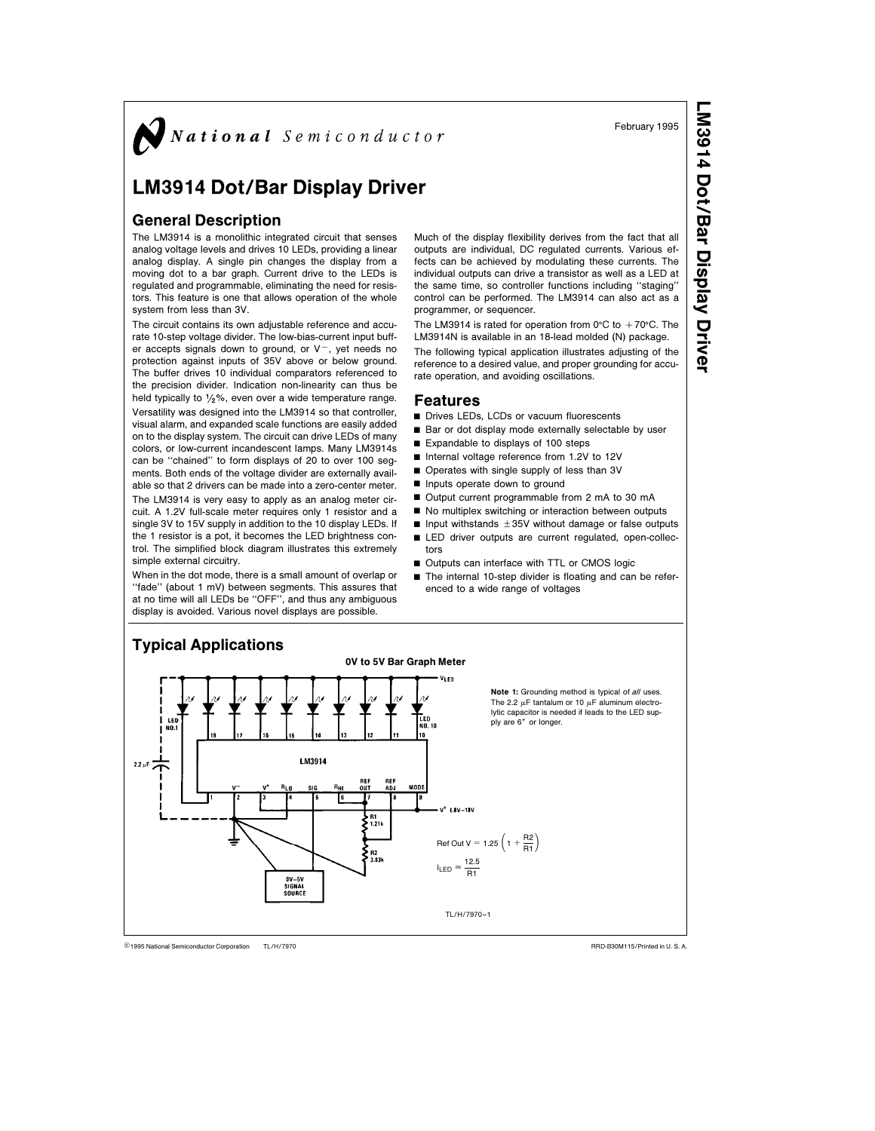$\bigotimes$  National Semiconductor

# LM3914 Dot/Bar Display Driver

# General Description

The LM3914 is a monolithic integrated circuit that senses analog voltage levels and drives 10 LEDs, providing a linear analog display. A single pin changes the display from a moving dot to a bar graph. Current drive to the LEDs is regulated and programmable, eliminating the need for resistors. This feature is one that allows operation of the whole system from less than 3V.

The circuit contains its own adjustable reference and accurate 10-step voltage divider. The low-bias-current input buffer accepts signals down to ground, or  $V^-$ , yet needs no protection against inputs of 35V above or below ground. The buffer drives 10 individual comparators referenced to the precision divider. Indication non-linearity can thus be held typically to  $\frac{1}{2}\%$ , even over a wide temperature range. Versatility was designed into the LM3914 so that controller, visual alarm, and expanded scale functions are easily added on to the display system. The circuit can drive LEDs of many colors, or low-current incandescent lamps. Many LM3914s can be ''chained'' to form displays of 20 to over 100 segments. Both ends of the voltage divider are externally available so that 2 drivers can be made into a zero-center meter.

The LM3914 is very easy to apply as an analog meter circuit. A 1.2V full-scale meter requires only 1 resistor and a single 3V to 15V supply in addition to the 10 display LEDs. If the 1 resistor is a pot, it becomes the LED brightness control. The simplified block diagram illustrates this extremely simple external circuitry.

When in the dot mode, there is a small amount of overlap or "fade" (about 1 mV) between segments. This assures that at no time will all LEDs be ''OFF'', and thus any ambiguous display is avoided. Various novel displays are possible.

Much of the display flexibility derives from the fact that all outputs are individual, DC regulated currents. Various effects can be achieved by modulating these currents. The individual outputs can drive a transistor as well as a LED at the same time, so controller functions including ''staging'' control can be performed. The LM3914 can also act as a programmer, or sequencer.

The LM3914 is rated for operation from  $0^{\circ}$ C to  $+70^{\circ}$ C. The LM3914N is available in an 18-lead molded (N) package. The following typical application illustrates adjusting of the reference to a desired value, and proper grounding for accu-

rate operation, and avoiding oscillations.

### Features

- Drives LEDs, LCDs or vacuum fluorescents
- Bar or dot display mode externally selectable by user
- $\blacksquare$  Expandable to displays of 100 steps
- Internal voltage reference from 1.2V to 12V
- Operates with single supply of less than 3V
- **n** Inputs operate down to ground
- Output current programmable from 2 mA to 30 mA
- 
- No multiplex switching or interaction between outputs  $\blacksquare$  Input withstands  $\pm 35V$  without damage or false outputs
- E LED driver outputs are current regulated, open-collectors
- Outputs can interface with TTL or CMOS logic
- The internal 10-step divider is floating and can be referenced to a wide range of voltages



TL/H/7970 C1995 National Semiconductor Corporation TL/H/7970 **National Semiconductor Corporation RRD-B30M115/Printed in U. S. A.** 

LM3914 Dot/BarDisplay Driver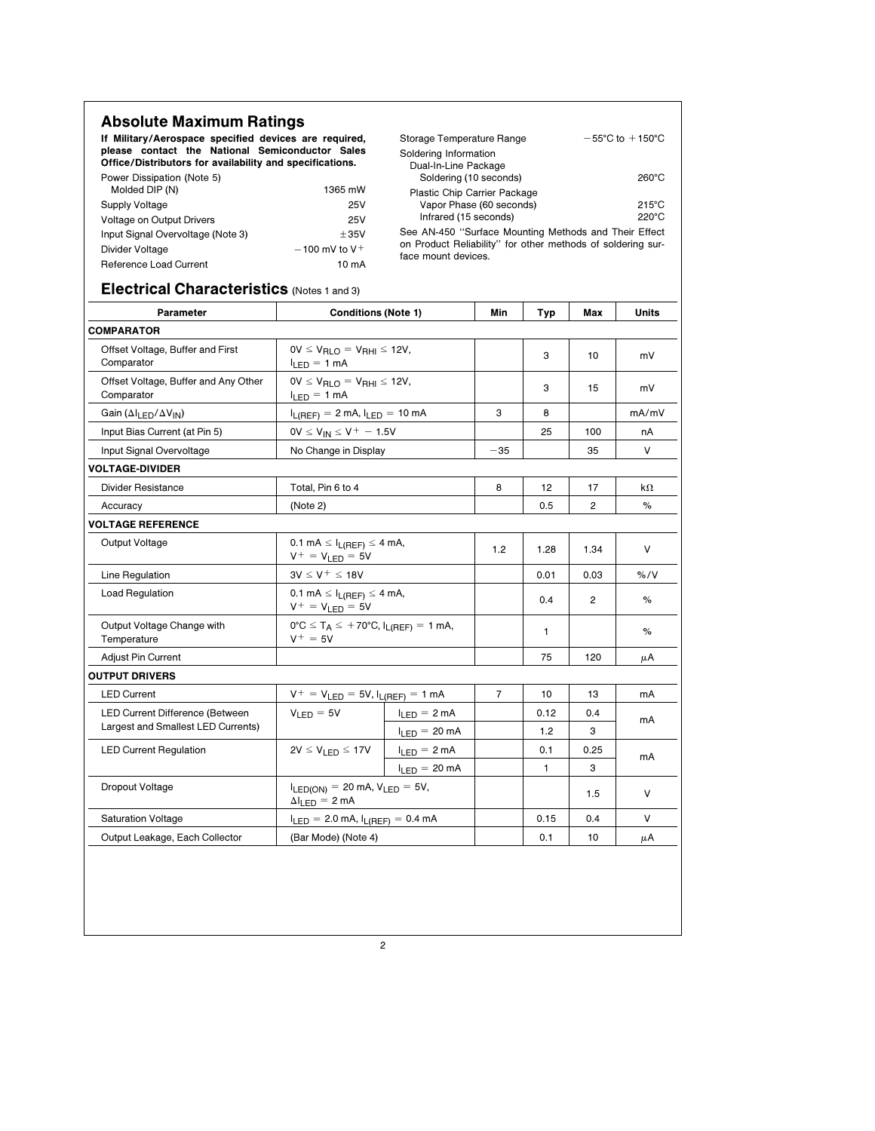| <b>Absolute Maximum Ratings</b><br>If Military/Aerospace specified devices are required,<br>please contact the National Semiconductor Sales<br>Office/Distributors for availability and specifications.<br>Power Dissipation (Note 5)<br>Molded DIP (N)<br><b>Supply Voltage</b><br>Voltage on Output Drivers<br>Input Signal Overvoltage (Note 3)<br>Divider Voltage<br>Reference Load Current | Storage Temperature Range<br>$-55^{\circ}$ C to $+150^{\circ}$ C<br>Soldering Information<br>Dual-In-Line Package<br>Soldering (10 seconds)<br>260°C<br>Plastic Chip Carrier Package<br>Vapor Phase (60 seconds)<br>$215^{\circ}$ C<br>Infrared (15 seconds)<br>220°C<br>See AN-450 "Surface Mounting Methods and Their Effect<br>on Product Reliability" for other methods of soldering sur-<br>face mount devices. |                                                      |                |      |      |              |  |
|-------------------------------------------------------------------------------------------------------------------------------------------------------------------------------------------------------------------------------------------------------------------------------------------------------------------------------------------------------------------------------------------------|----------------------------------------------------------------------------------------------------------------------------------------------------------------------------------------------------------------------------------------------------------------------------------------------------------------------------------------------------------------------------------------------------------------------|------------------------------------------------------|----------------|------|------|--------------|--|
| Electrical Characteristics (Notes 1 and 3)<br>Parameter                                                                                                                                                                                                                                                                                                                                         | <b>Conditions (Note 1)</b>                                                                                                                                                                                                                                                                                                                                                                                           |                                                      | Min            | Typ  | Max  | <b>Units</b> |  |
| <b>COMPARATOR</b>                                                                                                                                                                                                                                                                                                                                                                               |                                                                                                                                                                                                                                                                                                                                                                                                                      |                                                      |                |      |      |              |  |
| Offset Voltage, Buffer and First<br>Comparator                                                                                                                                                                                                                                                                                                                                                  | $I_{LED} = 1$ mA                                                                                                                                                                                                                                                                                                                                                                                                     | $0V \leq V_{\text{RLO}} = V_{\text{RHI}} \leq 12V$ , |                | 3    | 10   | mV           |  |
| Offset Voltage, Buffer and Any Other<br>Comparator                                                                                                                                                                                                                                                                                                                                              | $0V \le V_{RLO} = V_{RHI} \le 12V$ ,<br>$I_{LED} = 1 mA$                                                                                                                                                                                                                                                                                                                                                             |                                                      |                | 3    | 15   | mV           |  |
| Gain ( $\Delta I_{LED}/\Delta V_{IN}$ )                                                                                                                                                                                                                                                                                                                                                         | $I_{L(REF)} = 2$ mA, $I_{LED} = 10$ mA                                                                                                                                                                                                                                                                                                                                                                               |                                                      | 3              | 8    |      | mA/mV        |  |
| Input Bias Current (at Pin 5)                                                                                                                                                                                                                                                                                                                                                                   | $0V \le V_{IN} \le V^+ - 1.5V$                                                                                                                                                                                                                                                                                                                                                                                       |                                                      |                | 25   | 100  | nА           |  |
| Input Signal Overvoltage                                                                                                                                                                                                                                                                                                                                                                        | No Change in Display                                                                                                                                                                                                                                                                                                                                                                                                 |                                                      | $-35$          |      | 35   | V            |  |
| <b>VOLTAGE-DIVIDER</b>                                                                                                                                                                                                                                                                                                                                                                          |                                                                                                                                                                                                                                                                                                                                                                                                                      |                                                      |                |      |      |              |  |
| Divider Resistance                                                                                                                                                                                                                                                                                                                                                                              | Total, Pin 6 to 4                                                                                                                                                                                                                                                                                                                                                                                                    | 8                                                    | 12             | 17   | kΩ   |              |  |
| Accuracy                                                                                                                                                                                                                                                                                                                                                                                        | (Note 2)                                                                                                                                                                                                                                                                                                                                                                                                             |                                                      |                | 0.5  | 2    | %            |  |
| <b>VOLTAGE REFERENCE</b>                                                                                                                                                                                                                                                                                                                                                                        |                                                                                                                                                                                                                                                                                                                                                                                                                      |                                                      |                |      |      |              |  |
| Output Voltage                                                                                                                                                                                                                                                                                                                                                                                  | $0.1 \text{ mA} \leq I_{L(REF)} \leq 4 \text{ mA}$ ,<br>$V^+ = V_{LED} = 5V$                                                                                                                                                                                                                                                                                                                                         | 1.2                                                  | 1.28           | 1.34 | V    |              |  |
| Line Regulation                                                                                                                                                                                                                                                                                                                                                                                 | $3V \le V^+ \le 18V$                                                                                                                                                                                                                                                                                                                                                                                                 |                                                      |                | 0.01 | 0.03 | % / V        |  |
| <b>Load Regulation</b>                                                                                                                                                                                                                                                                                                                                                                          | 0.1 mA $\leq$ $I_{L(REF)} \leq$ 4 mA,<br>$V^+ = V_{\text{LED}} = 5V$                                                                                                                                                                                                                                                                                                                                                 |                                                      |                | 0.4  | 2    | %            |  |
| Output Voltage Change with<br>Temperature                                                                                                                                                                                                                                                                                                                                                       | $0^{\circ}C \leq T_A \leq +70^{\circ}C$ , $I_{L(REF)} = 1$ mA,<br>$V^+ = 5V$                                                                                                                                                                                                                                                                                                                                         |                                                      |                | 1    |      | %            |  |
| Adjust Pin Current                                                                                                                                                                                                                                                                                                                                                                              |                                                                                                                                                                                                                                                                                                                                                                                                                      |                                                      |                | 75   | 120  | μA           |  |
| <b>OUTPUT DRIVERS</b>                                                                                                                                                                                                                                                                                                                                                                           |                                                                                                                                                                                                                                                                                                                                                                                                                      |                                                      |                |      |      |              |  |
| <b>LED Current</b>                                                                                                                                                                                                                                                                                                                                                                              | $V^+ = V_{LED} = 5V, I_{L(REF)} = 1 mA$                                                                                                                                                                                                                                                                                                                                                                              |                                                      | $\overline{7}$ | 10   | 13   | mA           |  |
| LED Current Difference (Between                                                                                                                                                                                                                                                                                                                                                                 | $V_{LED} = 5V$                                                                                                                                                                                                                                                                                                                                                                                                       | $I_{LED} = 2 mA$                                     |                | 0.12 | 0.4  | mA           |  |
| Largest and Smallest LED Currents)                                                                                                                                                                                                                                                                                                                                                              |                                                                                                                                                                                                                                                                                                                                                                                                                      | $I_{LED} = 20 \text{ mA}$                            |                | 1.2  | 3    |              |  |
| <b>LED Current Regulation</b>                                                                                                                                                                                                                                                                                                                                                                   | $2V \leq V_{LED} \leq 17V$                                                                                                                                                                                                                                                                                                                                                                                           | $I_{LED} = 2 mA$                                     |                | 0.1  | 0.25 | mA<br>3      |  |
|                                                                                                                                                                                                                                                                                                                                                                                                 |                                                                                                                                                                                                                                                                                                                                                                                                                      | $I_{LED} = 20 \text{ mA}$                            |                | 1    |      |              |  |
| Dropout Voltage                                                                                                                                                                                                                                                                                                                                                                                 | $I_{LED(ON)} = 20$ mA, $V_{LED} = 5V$ ,<br>$\Delta I_{LED} = 2 \text{ mA}$                                                                                                                                                                                                                                                                                                                                           |                                                      |                |      | 1.5  | V            |  |
| <b>Saturation Voltage</b>                                                                                                                                                                                                                                                                                                                                                                       |                                                                                                                                                                                                                                                                                                                                                                                                                      |                                                      | 0.15           | 0.4  | V    |              |  |
| Output Leakage, Each Collector                                                                                                                                                                                                                                                                                                                                                                  | (Bar Mode) (Note 4)                                                                                                                                                                                                                                                                                                                                                                                                  |                                                      | 0.1            | 10   | μA   |              |  |
|                                                                                                                                                                                                                                                                                                                                                                                                 | $I_{LED} = 2.0$ mA, $I_{L(REF)} = 0.4$ mA                                                                                                                                                                                                                                                                                                                                                                            |                                                      |                |      |      |              |  |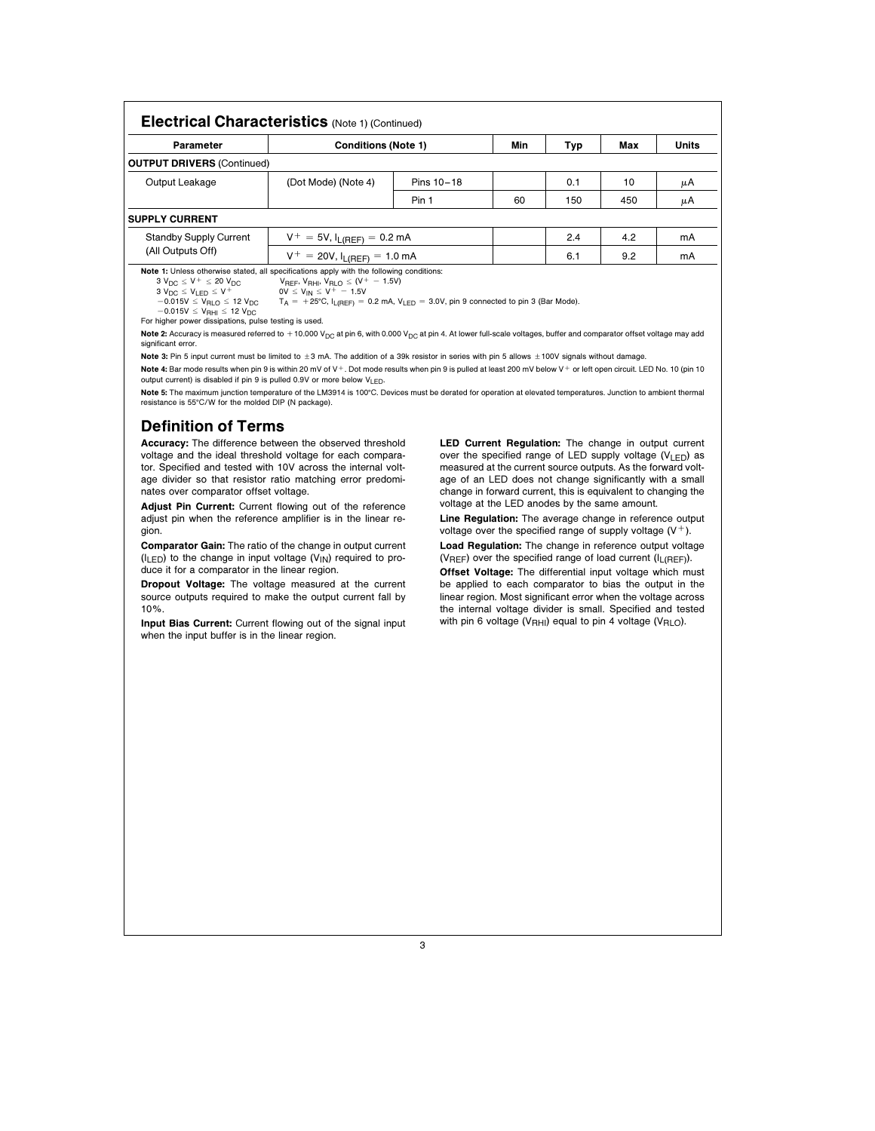| <b>Electrical Characteristics</b> (Note 1) (Continued)                                          |                                                                                                                                           |            |     |     |     |       |  |
|-------------------------------------------------------------------------------------------------|-------------------------------------------------------------------------------------------------------------------------------------------|------------|-----|-----|-----|-------|--|
| Parameter                                                                                       | <b>Conditions (Note 1)</b>                                                                                                                |            | Min | Typ | Max | Units |  |
| <b>OUTPUT DRIVERS (Continued)</b>                                                               |                                                                                                                                           |            |     |     |     |       |  |
| Output Leakage                                                                                  | (Dot Mode) (Note 4)                                                                                                                       | Pins 10-18 |     | 0.1 | 10  | μA    |  |
|                                                                                                 |                                                                                                                                           | Pin 1      | 60  | 150 | 450 | μA    |  |
| <b>SUPPLY CURRENT</b>                                                                           |                                                                                                                                           |            |     |     |     |       |  |
| <b>Standby Supply Current</b>                                                                   | $V^+ = 5V$ , $I_{L(REF)} = 0.2$ mA                                                                                                        |            | 2.4 | 4.2 | mA  |       |  |
| (All Outputs Off)                                                                               | $V^+ = 20V$ , $I_{L(REF)} = 1.0$ mA                                                                                                       |            |     | 6.1 | 9.2 | mA    |  |
| <b>Note 1:</b> Unless otherwise stated, all specifications apply with the following conditions: |                                                                                                                                           |            |     |     |     |       |  |
|                                                                                                 | $3 V_{DC} \le V^+ \le 20 V_{DC}$ $V_{REF}$ , $V_{RHD} \le (V^+ - 1.5V)$                                                                   |            |     |     |     |       |  |
| $3 V_{DC} \le V_{1FD} \le V^+$ 0V $\le V_{IN} \le V^+ - 1.5V$                                   |                                                                                                                                           |            |     |     |     |       |  |
|                                                                                                 | $-0.015V \le V_{RLO} \le 12 V_{DC}$ $T_A = +25^{\circ}C$ , $I_{L(REF)} = 0.2$ mA, $V_{LED} = 3.0V$ , pin 9 connected to pin 3 (Bar Mode). |            |     |     |     |       |  |

 $-0.015V \le V_{\text{RHI}} \le 12 V_{\text{DC}}$ 

For higher power dissipations, pulse testing is used.

Note 2: Accuracy is measured referred to +10.000 V<sub>DC</sub> at pin 6, with 0.000 V<sub>DC</sub> at pin 4. At lower full-scale voltages, buffer and comparator offset voltage may add significant error.

Note 3: Pin 5 input current must be limited to ±3 mA. The addition of a 39k resistor in series with pin 5 allows ±100V signals without damage.

Note 4: Bar mode results when pin 9 is within 20 mV of V+. Dot mode results when pin 9 is pulled at least 200 mV below V+ or left open circuit. LED No. 10 (pin 10 output current) is disabled if pin 9 is pulled 0.9V or more below VLED.

Note 5: The maximum junction temperature of the LM3914 is 100°C. Devices must be derated for operation at elevated temperatures. Junction to ambient thermal resistance is 55°C/W for the molded DIP (N package).

# Definition of Terms

Accuracy: The difference between the observed threshold voltage and the ideal threshold voltage for each comparator. Specified and tested with 10V across the internal voltage divider so that resistor ratio matching error predominates over comparator offset voltage.

Adjust Pin Current: Current flowing out of the reference adjust pin when the reference amplifier is in the linear region.

Comparator Gain: The ratio of the change in output current  $(I_{LED})$  to the change in input voltage  $(V_{IN})$  required to produce it for a comparator in the linear region.

Dropout Voltage: The voltage measured at the current source outputs required to make the output current fall by 10%.

Input Bias Current: Current flowing out of the signal input when the input buffer is in the linear region.

LED Current Regulation: The change in output current over the specified range of LED supply voltage ( $V_{LED}$ ) as measured at the current source outputs. As the forward voltage of an LED does not change significantly with a small change in forward current, this is equivalent to changing the voltage at the LED anodes by the same amount.

Line Regulation: The average change in reference output voltage over the specified range of supply voltage  $(V^+)$ .

Load Regulation: The change in reference output voltage ( $V<sub>REF</sub>$ ) over the specified range of load current ( $I<sub>L(REF</sub>$ ).

Offset Voltage: The differential input voltage which must be applied to each comparator to bias the output in the linear region. Most significant error when the voltage across the internal voltage divider is small. Specified and tested with pin 6 voltage (V<sub>RHI</sub>) equal to pin 4 voltage (V<sub>RLO</sub>).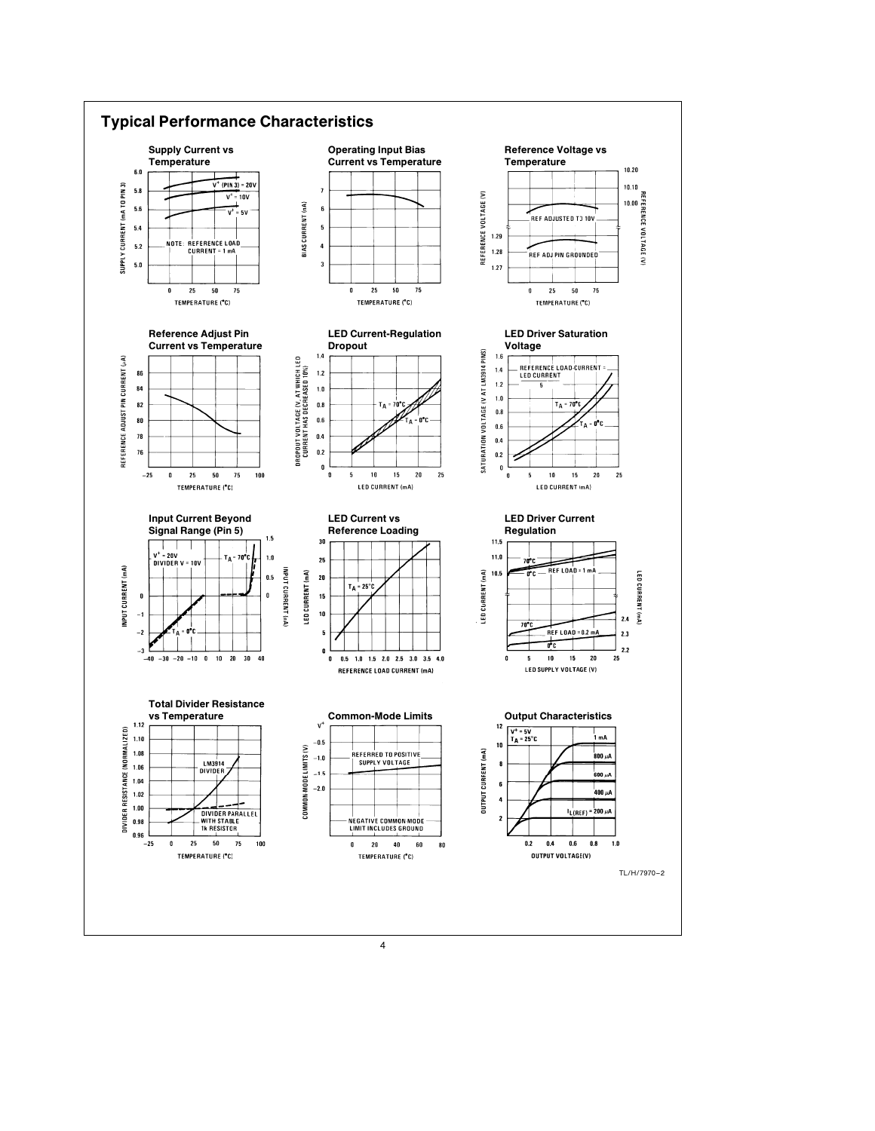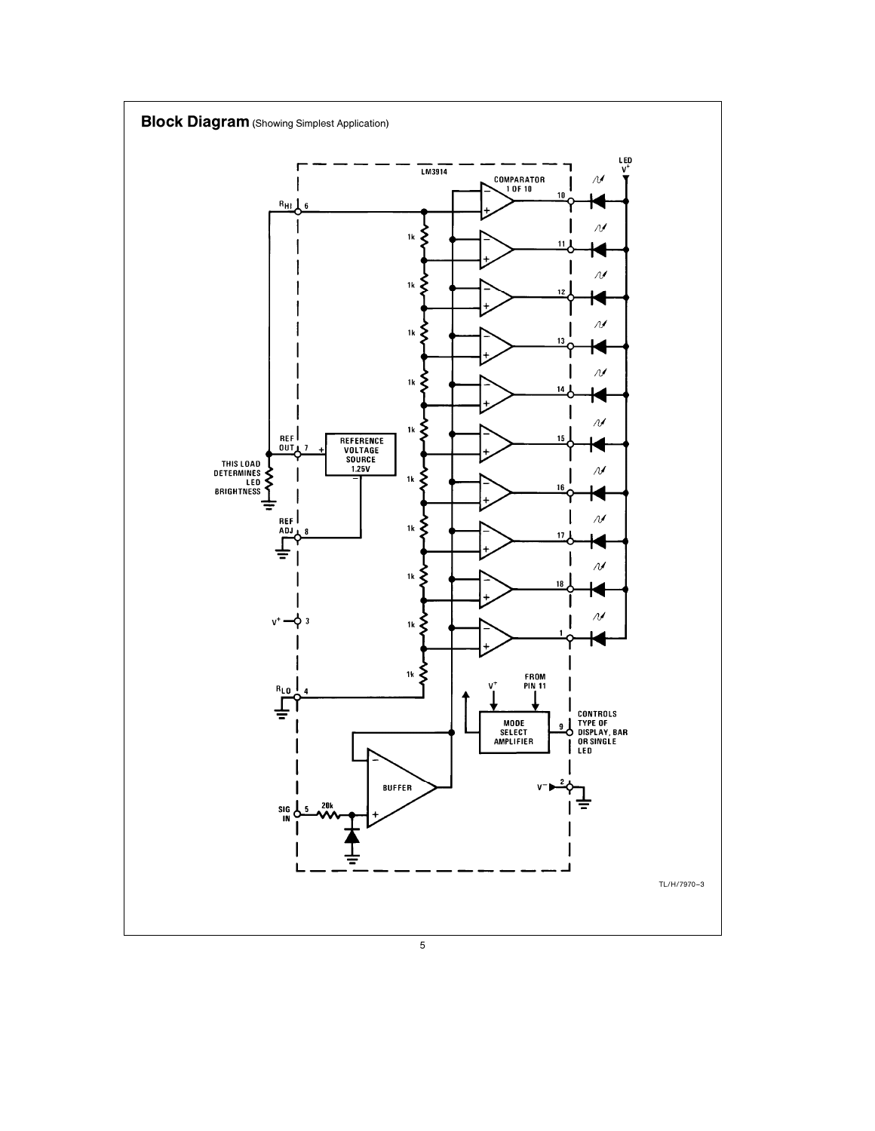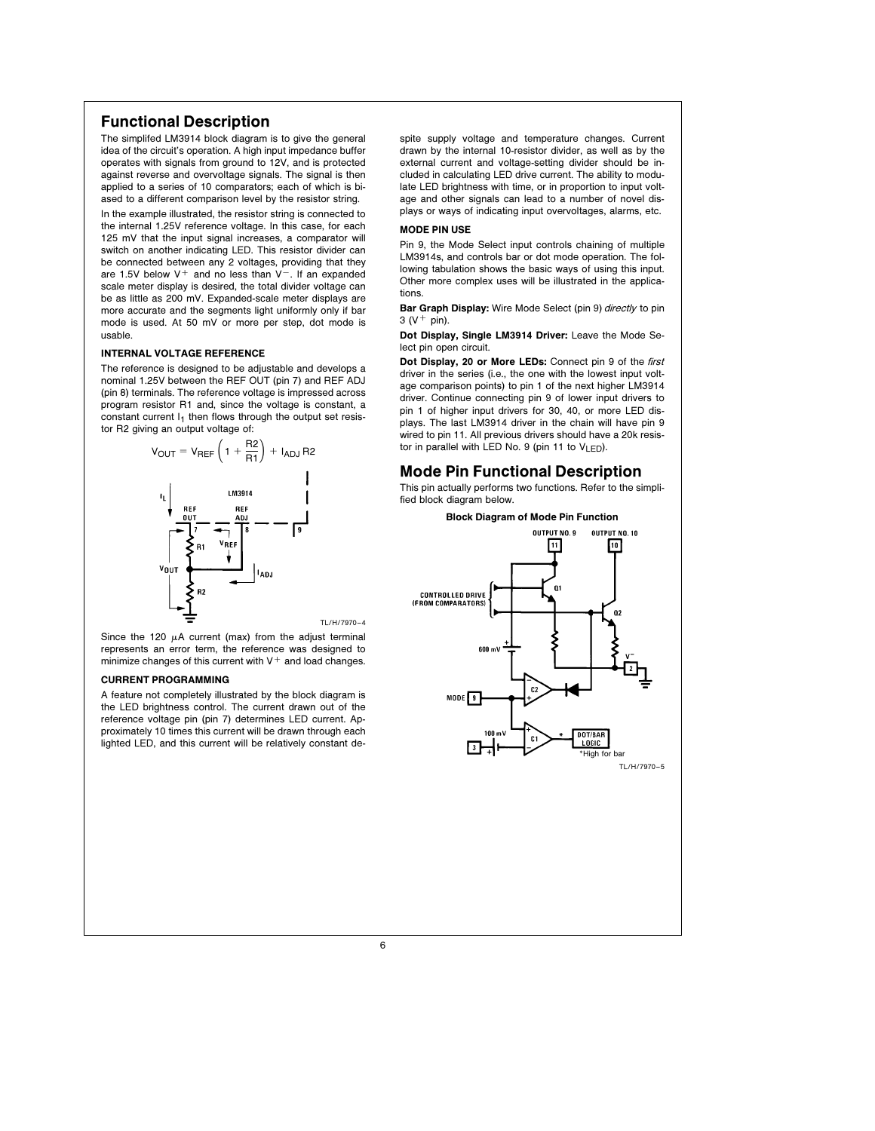# Functional Description

The simplifed LM3914 block diagram is to give the general idea of the circuit's operation. A high input impedance buffer operates with signals from ground to 12V, and is protected against reverse and overvoltage signals. The signal is then applied to a series of 10 comparators; each of which is biased to a different comparison level by the resistor string.

In the example illustrated, the resistor string is connected to the internal 1.25V reference voltage. In this case, for each 125 mV that the input signal increases, a comparator will switch on another indicating LED. This resistor divider can be connected between any 2 voltages, providing that they are 1.5V below  $V^+$  and no less than  $V^-$ . If an expanded scale meter display is desired, the total divider voltage can be as little as 200 mV. Expanded-scale meter displays are more accurate and the segments light uniformly only if bar mode is used. At 50 mV or more per step, dot mode is usable.

### INTERNAL VOLTAGE REFERENCE

The reference is designed to be adjustable and develops a nominal 1.25V between the REF OUT (pin 7) and REF ADJ (pin 8) terminals. The reference voltage is impressed across program resistor R1 and, since the voltage is constant, a constant current  $I_1$  then flows through the output set resistor R2 giving an output voltage of:



Since the 120  $\mu$ A current (max) from the adjust terminal represents an error term, the reference was designed to minimize changes of this current with  $V^+$  and load changes.

### CURRENT PROGRAMMING

A feature not completely illustrated by the block diagram is the LED brightness control. The current drawn out of the reference voltage pin (pin 7) determines LED current. Approximately 10 times this current will be drawn through each lighted LED, and this current will be relatively constant despite supply voltage and temperature changes. Current drawn by the internal 10-resistor divider, as well as by the external current and voltage-setting divider should be included in calculating LED drive current. The ability to modulate LED brightness with time, or in proportion to input voltage and other signals can lead to a number of novel displays or ways of indicating input overvoltages, alarms, etc.

### MODE PIN USE

Pin 9, the Mode Select input controls chaining of multiple LM3914s, and controls bar or dot mode operation. The following tabulation shows the basic ways of using this input. Other more complex uses will be illustrated in the applications.

Bar Graph Display: Wire Mode Select (pin 9) directly to pin  $3 (V + pin)$ .

Dot Display, Single LM3914 Driver: Leave the Mode Select pin open circuit.

Dot Display, 20 or More LEDs: Connect pin 9 of the first driver in the series (i.e., the one with the lowest input voltage comparison points) to pin 1 of the next higher LM3914 driver. Continue connecting pin 9 of lower input drivers to pin 1 of higher input drivers for 30, 40, or more LED displays. The last LM3914 driver in the chain will have pin 9 wired to pin 11. All previous drivers should have a 20k resistor in parallel with LED No. 9 (pin 11 to  $V_{LED}$ ).

# Mode Pin Functional Description

This pin actually performs two functions. Refer to the simplified block diagram below.

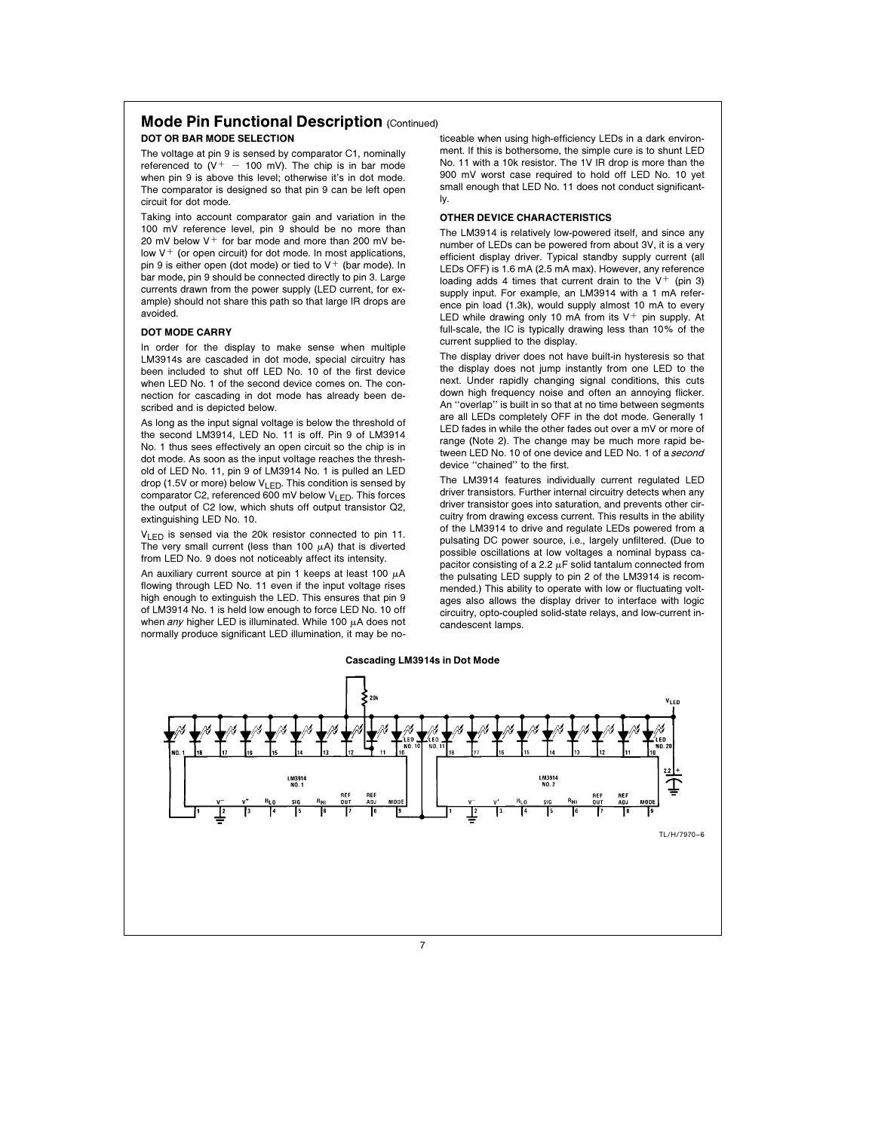### **Mode Pin Functional Description (Continued)** DOT OR BAR MODE SELECTION

The voltage at pin 9 is sensed by comparator C1, nominally referenced to  $(V^+ - 100 \text{ mV})$ . The chip is in bar mode when pin 9 is above this level; otherwise it's in dot mode. The comparator is designed so that pin 9 can be left open circuit for dot mode.

Taking into account comparator gain and variation in the 100 mV reference level, pin 9 should be no more than 20 mV below  $V^+$  for bar mode and more than 200 mV below  $V^+$  (or open circuit) for dot mode. In most applications, pin 9 is either open (dot mode) or tied to  $V^+$  (bar mode). In bar mode, pin 9 should be connected directly to pin 3. Large currents drawn from the power supply (LED current, for example) should not share this path so that large IR drops are avoided.

### DOT MODE CARRY

In order for the display to make sense when multiple LM3914s are cascaded in dot mode, special circuitry has been included to shut off LED No. 10 of the first device when LED No. 1 of the second device comes on. The connection for cascading in dot mode has already been described and is depicted below.

As long as the input signal voltage is below the threshold of the second LM3914, LED No. 11 is off. Pin 9 of LM3914 No. 1 thus sees effectively an open circuit so the chip is in dot mode. As soon as the input voltage reaches the threshold of LED No. 11, pin 9 of LM3914 No. 1 is pulled an LED drop (1.5V or more) below  $V_{\text{LED}}$ . This condition is sensed by comparator C2, referenced 600 mV below  $V_{LED}$ . This forces the output of C2 low, which shuts off output transistor Q2, extinguishing LED No. 10.

VLED is sensed via the 20k resistor connected to pin 11. The very small current (less than 100  $\mu$ A) that is diverted from LED No. 9 does not noticeably affect its intensity.

An auxiliary current source at pin 1 keeps at least 100  $\mu$ A flowing through LED No. 11 even if the input voltage rises high enough to extinguish the LED. This ensures that pin 9 of LM3914 No. 1 is held low enough to force LED No. 10 off when any higher LED is illuminated. While 100  $\mu$ A does not normally produce significant LED illumination, it may be no-

ticeable when using high-efficiency LEDs in a dark environment. If this is bothersome, the simple cure is to shunt LED No. 11 with a 10k resistor. The 1V IR drop is more than the 900 mV worst case required to hold off LED No. 10 yet small enough that LED No. 11 does not conduct significantly.

### OTHER DEVICE CHARACTERISTICS

The LM3914 is relatively low-powered itself, and since any number of LEDs can be powered from about 3V, it is a very efficient display driver. Typical standby supply current (all LEDs OFF) is 1.6 mA (2.5 mA max). However, any reference loading adds 4 times that current drain to the  $V^+$  (pin 3) supply input. For example, an LM3914 with a 1 mA reference pin load (1.3k), would supply almost 10 mA to every LED while drawing only 10 mA from its  $V^+$  pin supply. At full-scale, the IC is typically drawing less than 10% of the current supplied to the display.

The display driver does not have built-in hysteresis so that the display does not jump instantly from one LED to the next. Under rapidly changing signal conditions, this cuts down high frequency noise and often an annoying flicker. An ''overlap'' is built in so that at no time between segments are all LEDs completely OFF in the dot mode. Generally 1 LED fades in while the other fades out over a mV or more of range (Note 2). The change may be much more rapid between LED No. 10 of one device and LED No. 1 of a second device ''chained'' to the first.

The LM3914 features individually current regulated LED driver transistors. Further internal circuitry detects when any driver transistor goes into saturation, and prevents other circuitry from drawing excess current. This results in the ability of the LM3914 to drive and regulate LEDs powered from a pulsating DC power source, i.e., largely unfiltered. (Due to possible oscillations at low voltages a nominal bypass capacitor consisting of a 2.2  $\mu$ F solid tantalum connected from the pulsating LED supply to pin 2 of the LM3914 is recommended.) This ability to operate with low or fluctuating voltages also allows the display driver to interface with logic circuitry, opto-coupled solid-state relays, and low-current incandescent lamps.

### Cascading LM3914s in Dot Mode

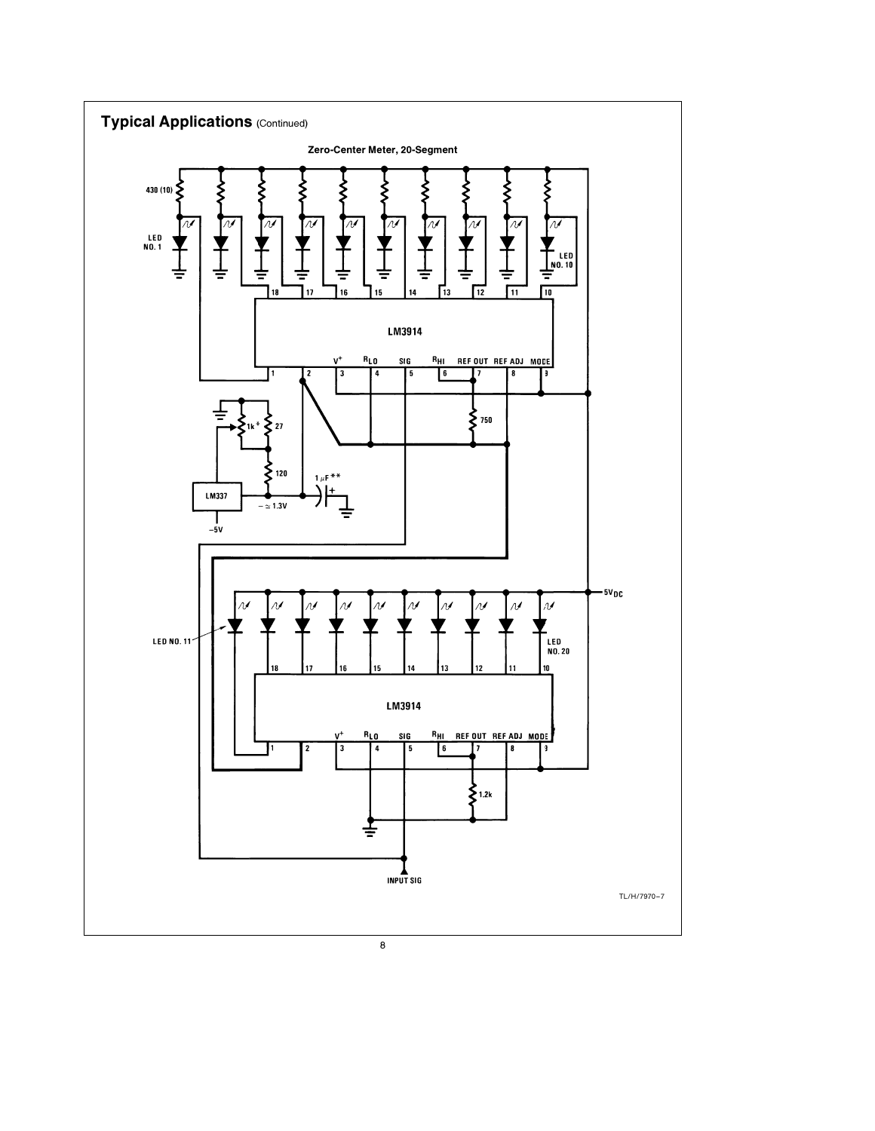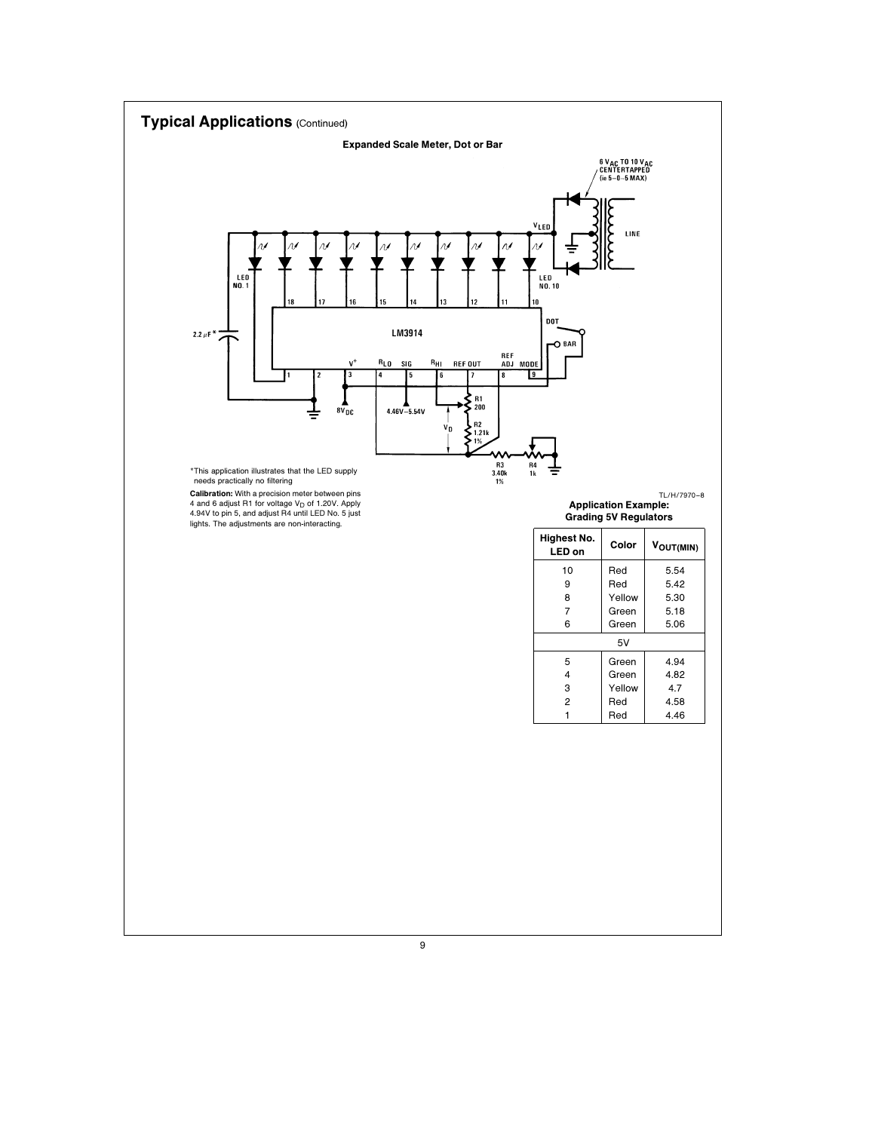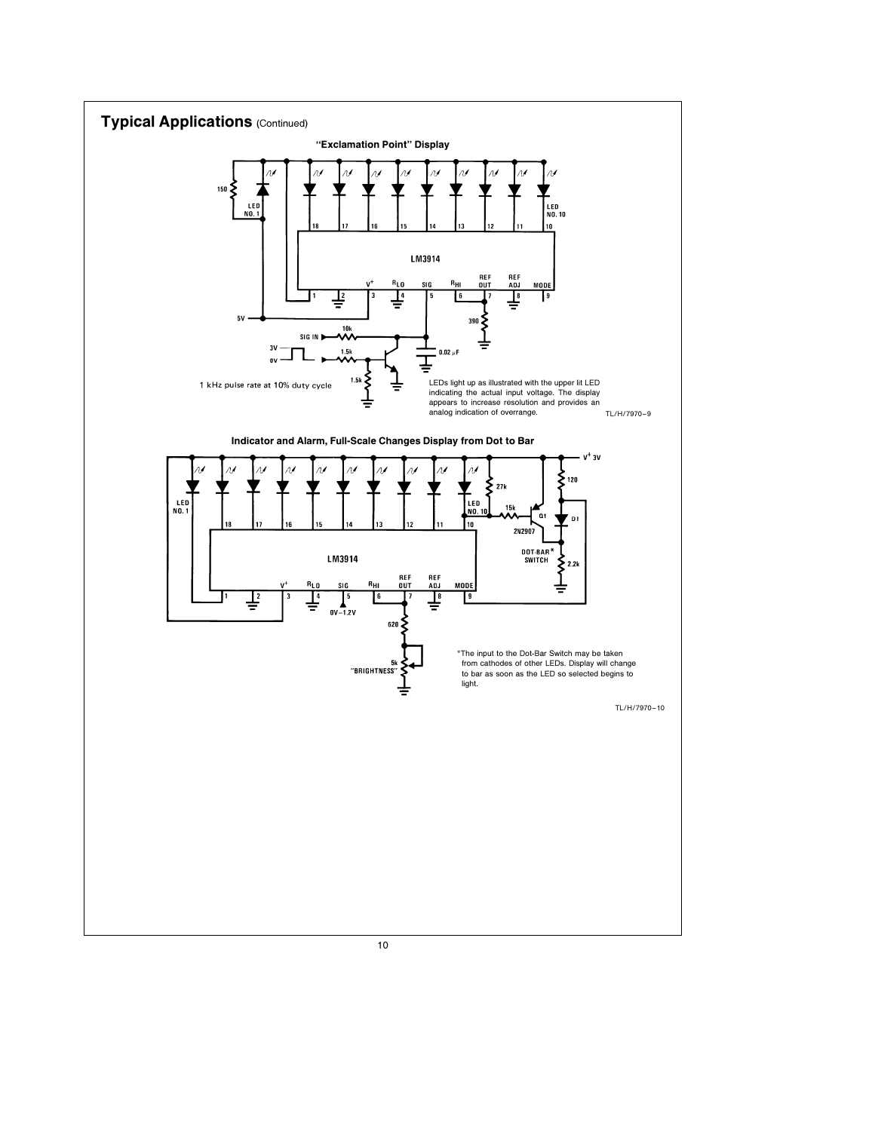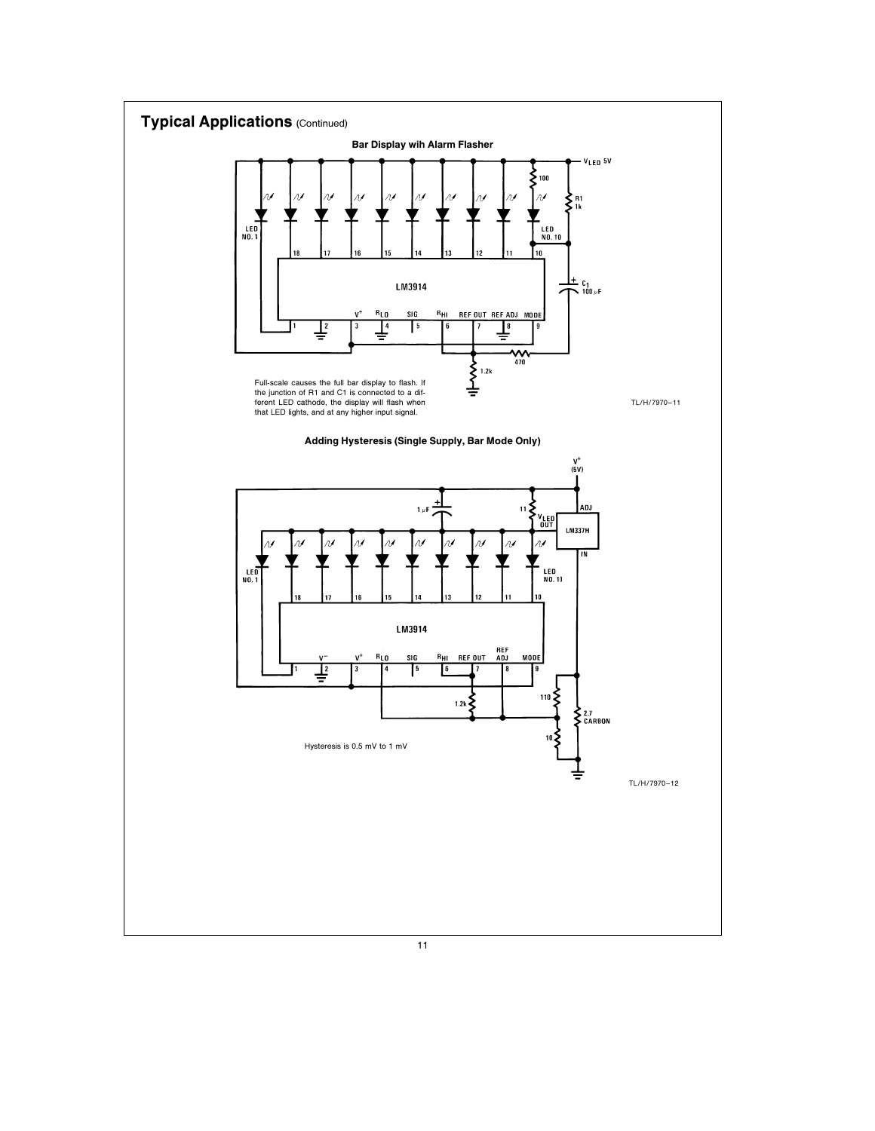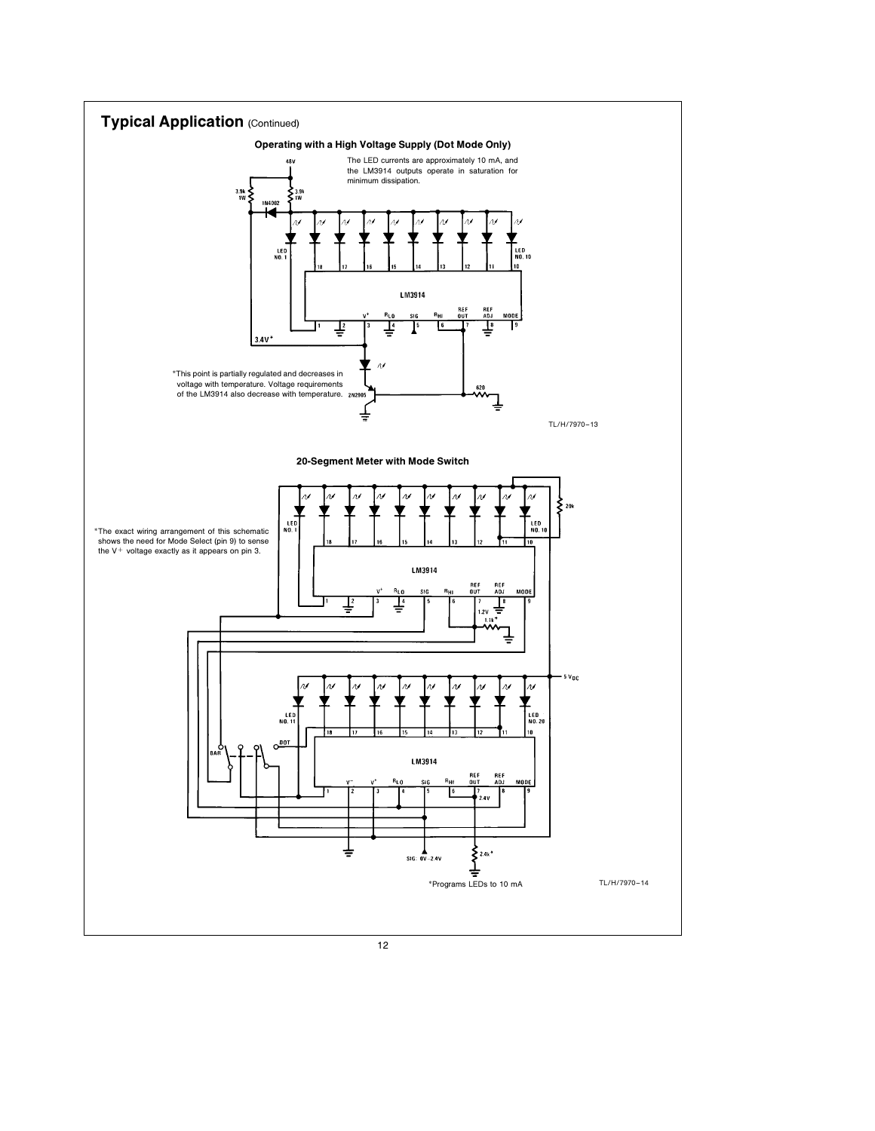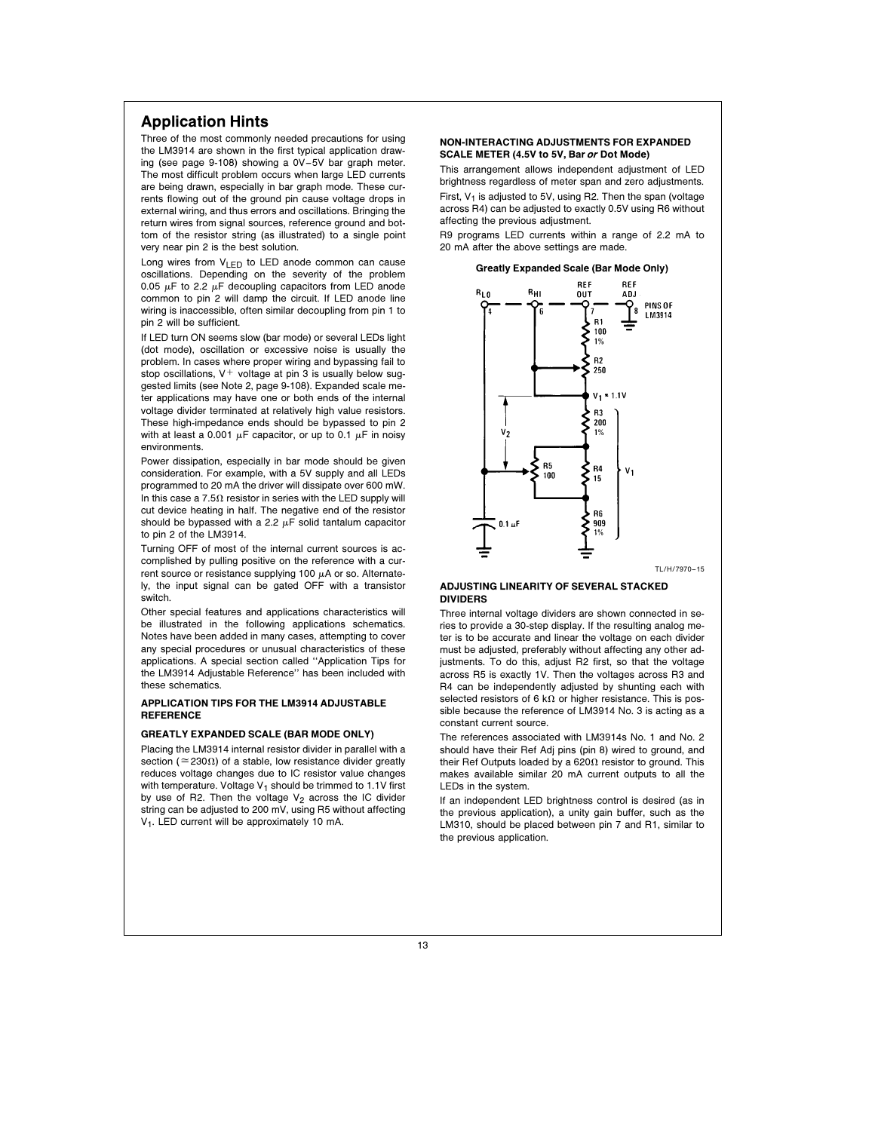# Application Hints

Three of the most commonly needed precautions for using the LM3914 are shown in the first typical application drawing (see page 9-108) showing a 0V –5V bar graph meter. The most difficult problem occurs when large LED currents are being drawn, especially in bar graph mode. These currents flowing out of the ground pin cause voltage drops in external wiring, and thus errors and oscillations. Bringing the return wires from signal sources, reference ground and bottom of the resistor string (as illustrated) to a single point very near pin 2 is the best solution.

Long wires from  $V_{LED}$  to LED anode common can cause oscillations. Depending on the severity of the problem 0.05  $\mu$ F to 2.2  $\mu$ F decoupling capacitors from LED anode common to pin 2 will damp the circuit. If LED anode line wiring is inaccessible, often similar decoupling from pin 1 to pin 2 will be sufficient.

If LED turn ON seems slow (bar mode) or several LEDs light (dot mode), oscillation or excessive noise is usually the problem. In cases where proper wiring and bypassing fail to stop oscillations,  $V^+$  voltage at pin 3 is usually below suggested limits (see Note 2, page 9-108). Expanded scale meter applications may have one or both ends of the internal voltage divider terminated at relatively high value resistors. These high-impedance ends should be bypassed to pin 2 with at least a 0.001  $\mu$ F capacitor, or up to 0.1  $\mu$ F in noisy environments.

Power dissipation, especially in bar mode should be given consideration. For example, with a 5V supply and all LEDs programmed to 20 mA the driver will dissipate over 600 mW. In this case a 7.5 $\Omega$  resistor in series with the LED supply will cut device heating in half. The negative end of the resistor should be bypassed with a 2.2  $\mu$ F solid tantalum capacitor to pin 2 of the LM3914.

Turning OFF of most of the internal current sources is accomplished by pulling positive on the reference with a current source or resistance supplying 100  $\mu$ A or so. Alternately, the input signal can be gated OFF with a transistor switch.

Other special features and applications characteristics will be illustrated in the following applications schematics. Notes have been added in many cases, attempting to cover any special procedures or unusual characteristics of these applications. A special section called ''Application Tips for the LM3914 Adjustable Reference'' has been included with these schematics.

### APPLICATION TIPS FOR THE LM3914 ADJUSTABLE **REFERENCE**

### GREATLY EXPANDED SCALE (BAR MODE ONLY)

Placing the LM3914 internal resistor divider in parallel with a section ( $\approx$  230 $\Omega$ ) of a stable, low resistance divider greatly reduces voltage changes due to IC resistor value changes with temperature. Voltage  $V_1$  should be trimmed to 1.1V first by use of R2. Then the voltage  $V_2$  across the IC divider string can be adjusted to 200 mV, using R5 without affecting V<sub>1</sub>. LED current will be approximately 10 mA.

### NON-INTERACTING ADJUSTMENTS FOR EXPANDED SCALE METER (4.5V to 5V, Bar or Dot Mode)

This arrangement allows independent adjustment of LED brightness regardless of meter span and zero adjustments. First,  $V_1$  is adjusted to 5V, using R2. Then the span (voltage across R4) can be adjusted to exactly 0.5V using R6 without

affecting the previous adjustment. R9 programs LED currents within a range of 2.2 mA to 20 mA after the above settings are made.

Greatly Expanded Scale (Bar Mode Only)



### ADJUSTING LINEARITY OF SEVERAL STACKED DIVIDERS

Three internal voltage dividers are shown connected in series to provide a 30-step display. If the resulting analog meter is to be accurate and linear the voltage on each divider must be adjusted, preferably without affecting any other adjustments. To do this, adjust R2 first, so that the voltage across R5 is exactly 1V. Then the voltages across R3 and R4 can be independently adjusted by shunting each with selected resistors of 6 k $\Omega$  or higher resistance. This is possible because the reference of LM3914 No. 3 is acting as a constant current source.

The references associated with LM3914s No. 1 and No. 2 should have their Ref Adj pins (pin 8) wired to ground, and their Ref Outputs loaded by a 620 $\Omega$  resistor to ground. This makes available similar 20 mA current outputs to all the LEDs in the system.

If an independent LED brightness control is desired (as in the previous application), a unity gain buffer, such as the LM310, should be placed between pin 7 and R1, similar to the previous application.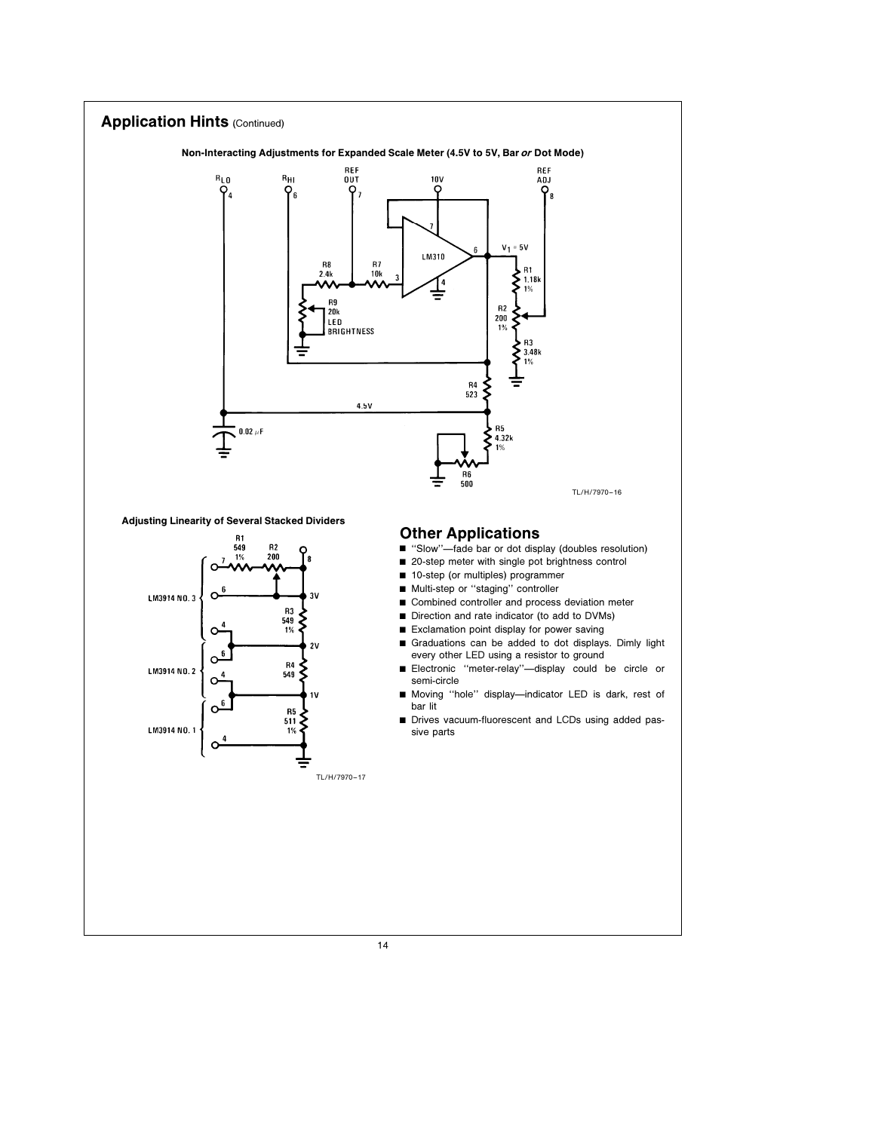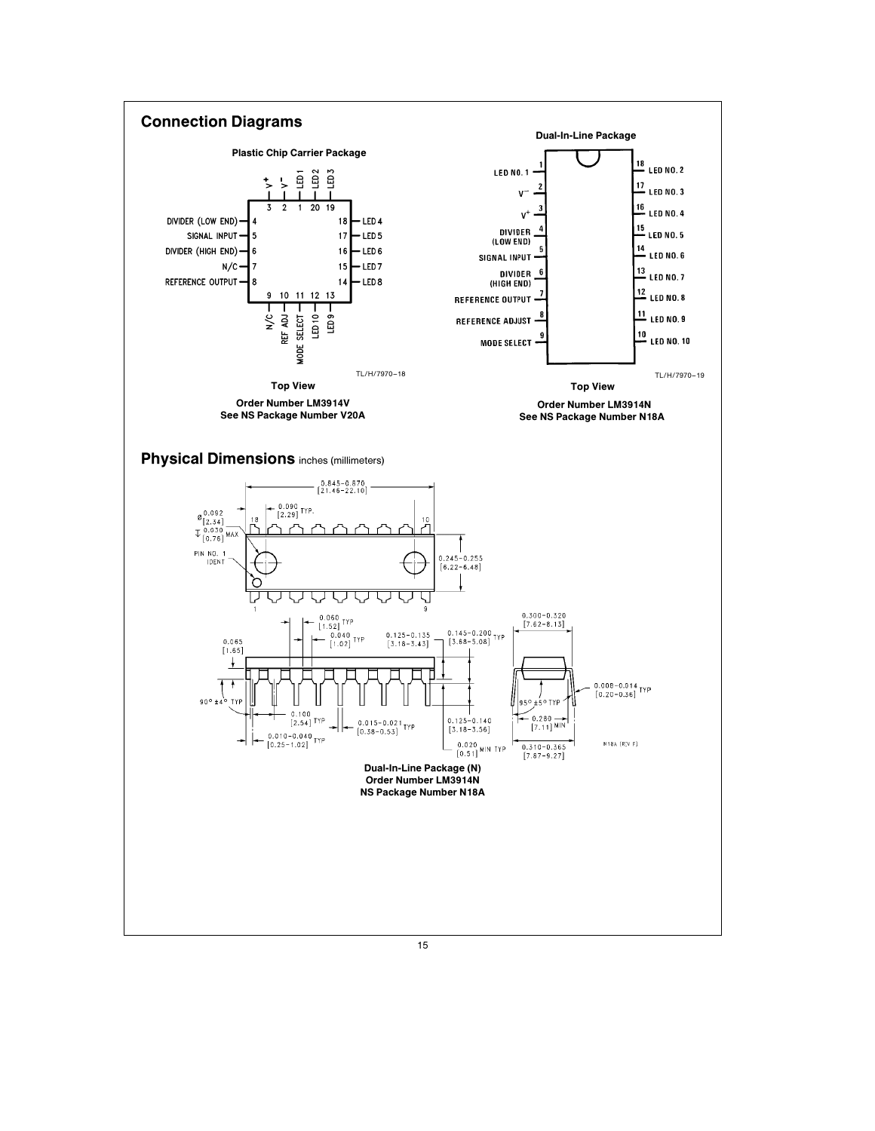